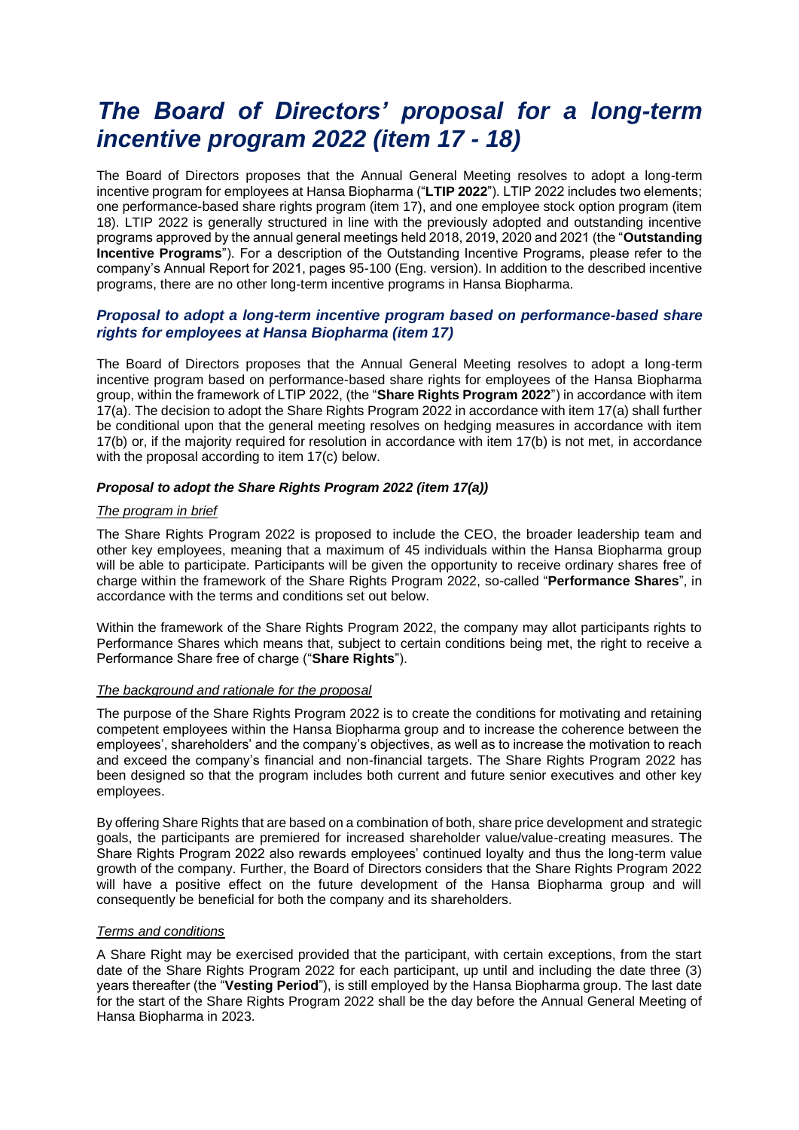# *The Board of Directors' proposal for a long-term incentive program 2022 (item 17 - 18)*

The Board of Directors proposes that the Annual General Meeting resolves to adopt a long-term incentive program for employees at Hansa Biopharma ("**LTIP 2022**"). LTIP 2022 includes two elements; one performance-based share rights program (item 17), and one employee stock option program (item 18). LTIP 2022 is generally structured in line with the previously adopted and outstanding incentive programs approved by the annual general meetings held 2018, 2019, 2020 and 2021 (the "**Outstanding Incentive Programs**"). For a description of the Outstanding Incentive Programs, please refer to the company's Annual Report for 2021, pages 95-100 (Eng. version). In addition to the described incentive programs, there are no other long-term incentive programs in Hansa Biopharma.

# *Proposal to adopt a long-term incentive program based on performance-based share rights for employees at Hansa Biopharma (item 17)*

The Board of Directors proposes that the Annual General Meeting resolves to adopt a long-term incentive program based on performance-based share rights for employees of the Hansa Biopharma group, within the framework of LTIP 2022, (the "**Share Rights Program 2022**") in accordance with item 17(a). The decision to adopt the Share Rights Program 2022 in accordance with item 17(a) shall further be conditional upon that the general meeting resolves on hedging measures in accordance with item 17(b) or, if the majority required for resolution in accordance with item 17(b) is not met, in accordance with the proposal according to item 17(c) below.

## *Proposal to adopt the Share Rights Program 2022 (item 17(a))*

#### *The program in brief*

The Share Rights Program 2022 is proposed to include the CEO, the broader leadership team and other key employees, meaning that a maximum of 45 individuals within the Hansa Biopharma group will be able to participate. Participants will be given the opportunity to receive ordinary shares free of charge within the framework of the Share Rights Program 2022, so-called "**Performance Shares**", in accordance with the terms and conditions set out below.

Within the framework of the Share Rights Program 2022, the company may allot participants rights to Performance Shares which means that, subject to certain conditions being met, the right to receive a Performance Share free of charge ("**Share Rights**").

#### *The background and rationale for the proposal*

The purpose of the Share Rights Program 2022 is to create the conditions for motivating and retaining competent employees within the Hansa Biopharma group and to increase the coherence between the employees', shareholders' and the company's objectives, as well as to increase the motivation to reach and exceed the company's financial and non-financial targets. The Share Rights Program 2022 has been designed so that the program includes both current and future senior executives and other key employees.

By offering Share Rights that are based on a combination of both, share price development and strategic goals, the participants are premiered for increased shareholder value/value-creating measures. The Share Rights Program 2022 also rewards employees' continued loyalty and thus the long-term value growth of the company. Further, the Board of Directors considers that the Share Rights Program 2022 will have a positive effect on the future development of the Hansa Biopharma group and will consequently be beneficial for both the company and its shareholders.

## *Terms and conditions*

A Share Right may be exercised provided that the participant, with certain exceptions, from the start date of the Share Rights Program 2022 for each participant, up until and including the date three (3) years thereafter (the "**Vesting Period**"), is still employed by the Hansa Biopharma group. The last date for the start of the Share Rights Program 2022 shall be the day before the Annual General Meeting of Hansa Biopharma in 2023.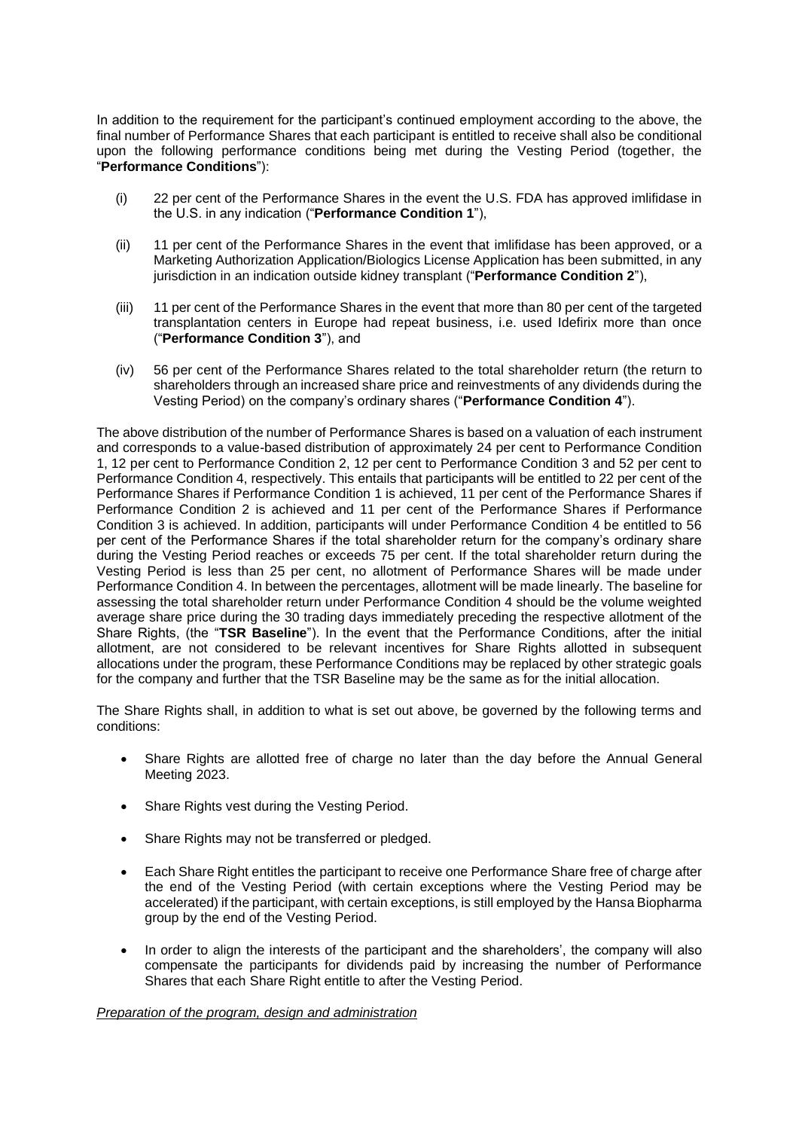In addition to the requirement for the participant's continued employment according to the above, the final number of Performance Shares that each participant is entitled to receive shall also be conditional upon the following performance conditions being met during the Vesting Period (together, the "**Performance Conditions**"):

- (i) 22 per cent of the Performance Shares in the event the U.S. FDA has approved imlifidase in the U.S. in any indication ("**Performance Condition 1**"),
- (ii) 11 per cent of the Performance Shares in the event that imlifidase has been approved, or a Marketing Authorization Application/Biologics License Application has been submitted, in any jurisdiction in an indication outside kidney transplant ("**Performance Condition 2**"),
- (iii) 11 per cent of the Performance Shares in the event that more than 80 per cent of the targeted transplantation centers in Europe had repeat business, i.e. used Idefirix more than once ("**Performance Condition 3**"), and
- (iv) 56 per cent of the Performance Shares related to the total shareholder return (the return to shareholders through an increased share price and reinvestments of any dividends during the Vesting Period) on the company's ordinary shares ("**Performance Condition 4**").

The above distribution of the number of Performance Shares is based on a valuation of each instrument and corresponds to a value-based distribution of approximately 24 per cent to Performance Condition 1, 12 per cent to Performance Condition 2, 12 per cent to Performance Condition 3 and 52 per cent to Performance Condition 4, respectively. This entails that participants will be entitled to 22 per cent of the Performance Shares if Performance Condition 1 is achieved, 11 per cent of the Performance Shares if Performance Condition 2 is achieved and 11 per cent of the Performance Shares if Performance Condition 3 is achieved. In addition, participants will under Performance Condition 4 be entitled to 56 per cent of the Performance Shares if the total shareholder return for the company's ordinary share during the Vesting Period reaches or exceeds 75 per cent. If the total shareholder return during the Vesting Period is less than 25 per cent, no allotment of Performance Shares will be made under Performance Condition 4. In between the percentages, allotment will be made linearly. The baseline for assessing the total shareholder return under Performance Condition 4 should be the volume weighted average share price during the 30 trading days immediately preceding the respective allotment of the Share Rights, (the "**TSR Baseline**"). In the event that the Performance Conditions, after the initial allotment, are not considered to be relevant incentives for Share Rights allotted in subsequent allocations under the program, these Performance Conditions may be replaced by other strategic goals for the company and further that the TSR Baseline may be the same as for the initial allocation.

The Share Rights shall, in addition to what is set out above, be governed by the following terms and conditions:

- Share Rights are allotted free of charge no later than the day before the Annual General Meeting 2023.
- Share Rights vest during the Vesting Period.
- Share Rights may not be transferred or pledged.
- Each Share Right entitles the participant to receive one Performance Share free of charge after the end of the Vesting Period (with certain exceptions where the Vesting Period may be accelerated) if the participant, with certain exceptions, is still employed by the Hansa Biopharma group by the end of the Vesting Period.
- In order to align the interests of the participant and the shareholders', the company will also compensate the participants for dividends paid by increasing the number of Performance Shares that each Share Right entitle to after the Vesting Period.

#### *Preparation of the program, design and administration*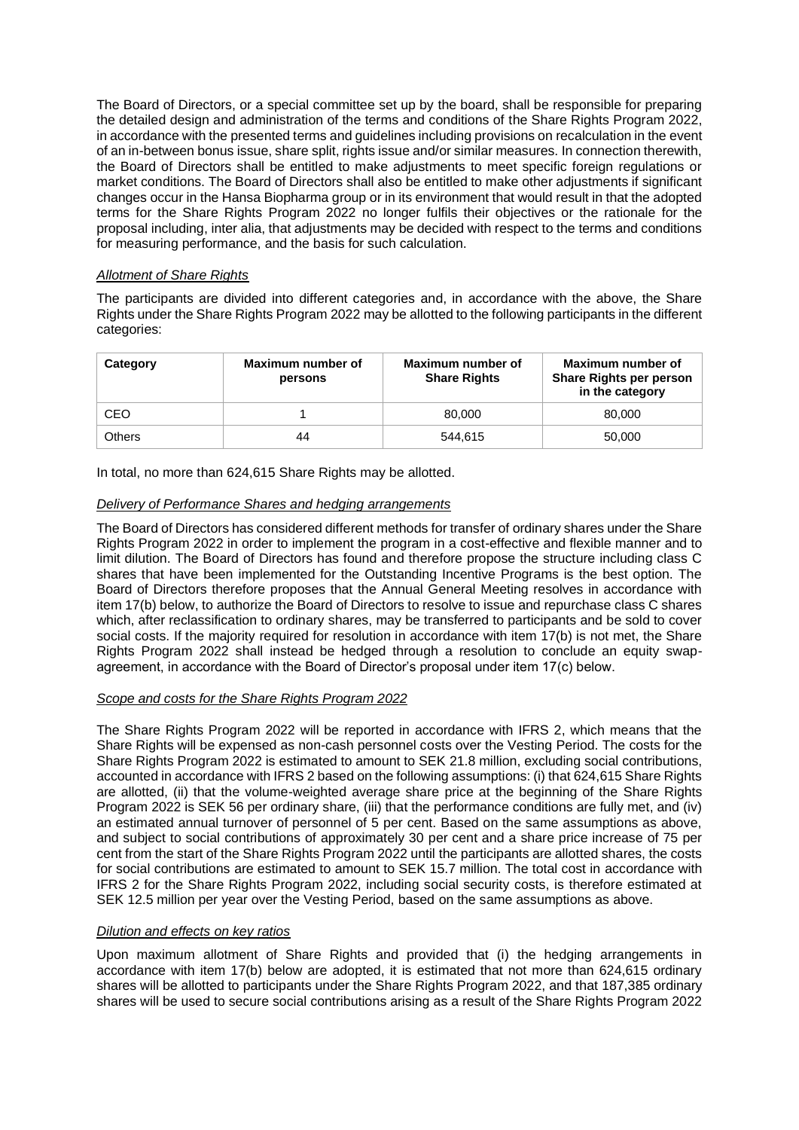The Board of Directors, or a special committee set up by the board, shall be responsible for preparing the detailed design and administration of the terms and conditions of the Share Rights Program 2022, in accordance with the presented terms and guidelines including provisions on recalculation in the event of an in-between bonus issue, share split, rights issue and/or similar measures. In connection therewith, the Board of Directors shall be entitled to make adjustments to meet specific foreign regulations or market conditions. The Board of Directors shall also be entitled to make other adjustments if significant changes occur in the Hansa Biopharma group or in its environment that would result in that the adopted terms for the Share Rights Program 2022 no longer fulfils their objectives or the rationale for the proposal including, inter alia, that adjustments may be decided with respect to the terms and conditions for measuring performance, and the basis for such calculation.

## *Allotment of Share Rights*

The participants are divided into different categories and, in accordance with the above, the Share Rights under the Share Rights Program 2022 may be allotted to the following participants in the different categories:

| Category      | Maximum number of<br>persons | Maximum number of<br><b>Share Rights</b> | Maximum number of<br><b>Share Rights per person</b><br>in the category |
|---------------|------------------------------|------------------------------------------|------------------------------------------------------------------------|
| CEO           |                              | 80,000                                   | 80,000                                                                 |
| <b>Others</b> | 44                           | 544.615                                  | 50,000                                                                 |

In total, no more than 624,615 Share Rights may be allotted.

# *Delivery of Performance Shares and hedging arrangements*

The Board of Directors has considered different methods for transfer of ordinary shares under the Share Rights Program 2022 in order to implement the program in a cost-effective and flexible manner and to limit dilution. The Board of Directors has found and therefore propose the structure including class C shares that have been implemented for the Outstanding Incentive Programs is the best option. The Board of Directors therefore proposes that the Annual General Meeting resolves in accordance with item 17(b) below, to authorize the Board of Directors to resolve to issue and repurchase class C shares which, after reclassification to ordinary shares, may be transferred to participants and be sold to cover social costs. If the majority required for resolution in accordance with item 17(b) is not met, the Share Rights Program 2022 shall instead be hedged through a resolution to conclude an equity swapagreement, in accordance with the Board of Director's proposal under item 17(c) below.

# *Scope and costs for the Share Rights Program 2022*

The Share Rights Program 2022 will be reported in accordance with IFRS 2, which means that the Share Rights will be expensed as non-cash personnel costs over the Vesting Period. The costs for the Share Rights Program 2022 is estimated to amount to SEK 21.8 million, excluding social contributions, accounted in accordance with IFRS 2 based on the following assumptions: (i) that 624,615 Share Rights are allotted, (ii) that the volume-weighted average share price at the beginning of the Share Rights Program 2022 is SEK 56 per ordinary share, (iii) that the performance conditions are fully met, and (iv) an estimated annual turnover of personnel of 5 per cent. Based on the same assumptions as above, and subject to social contributions of approximately 30 per cent and a share price increase of 75 per cent from the start of the Share Rights Program 2022 until the participants are allotted shares, the costs for social contributions are estimated to amount to SEK 15.7 million. The total cost in accordance with IFRS 2 for the Share Rights Program 2022, including social security costs, is therefore estimated at SEK 12.5 million per year over the Vesting Period, based on the same assumptions as above.

## *Dilution and effects on key ratios*

Upon maximum allotment of Share Rights and provided that (i) the hedging arrangements in accordance with item 17(b) below are adopted, it is estimated that not more than 624,615 ordinary shares will be allotted to participants under the Share Rights Program 2022, and that 187,385 ordinary shares will be used to secure social contributions arising as a result of the Share Rights Program 2022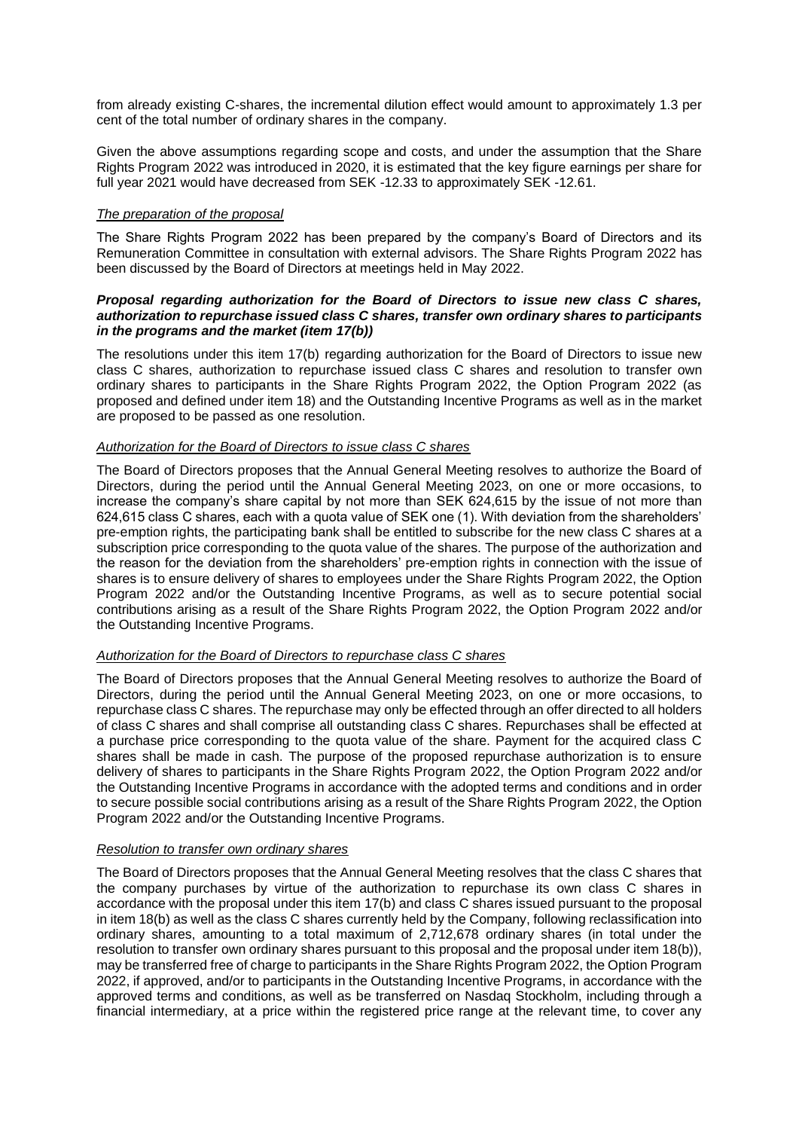from already existing C-shares, the incremental dilution effect would amount to approximately 1.3 per cent of the total number of ordinary shares in the company.

Given the above assumptions regarding scope and costs, and under the assumption that the Share Rights Program 2022 was introduced in 2020, it is estimated that the key figure earnings per share for full year 2021 would have decreased from SEK -12.33 to approximately SEK -12.61.

## *The preparation of the proposal*

The Share Rights Program 2022 has been prepared by the company's Board of Directors and its Remuneration Committee in consultation with external advisors. The Share Rights Program 2022 has been discussed by the Board of Directors at meetings held in May 2022.

## *Proposal regarding authorization for the Board of Directors to issue new class C shares, authorization to repurchase issued class C shares, transfer own ordinary shares to participants in the programs and the market (item 17(b))*

The resolutions under this item 17(b) regarding authorization for the Board of Directors to issue new class C shares, authorization to repurchase issued class C shares and resolution to transfer own ordinary shares to participants in the Share Rights Program 2022, the Option Program 2022 (as proposed and defined under item 18) and the Outstanding Incentive Programs as well as in the market are proposed to be passed as one resolution.

# *Authorization for the Board of Directors to issue class C shares*

The Board of Directors proposes that the Annual General Meeting resolves to authorize the Board of Directors, during the period until the Annual General Meeting 2023, on one or more occasions, to increase the company's share capital by not more than SEK 624,615 by the issue of not more than 624,615 class C shares, each with a quota value of SEK one (1). With deviation from the shareholders' pre-emption rights, the participating bank shall be entitled to subscribe for the new class C shares at a subscription price corresponding to the quota value of the shares. The purpose of the authorization and the reason for the deviation from the shareholders' pre-emption rights in connection with the issue of shares is to ensure delivery of shares to employees under the Share Rights Program 2022, the Option Program 2022 and/or the Outstanding Incentive Programs, as well as to secure potential social contributions arising as a result of the Share Rights Program 2022, the Option Program 2022 and/or the Outstanding Incentive Programs.

# *Authorization for the Board of Directors to repurchase class C shares*

The Board of Directors proposes that the Annual General Meeting resolves to authorize the Board of Directors, during the period until the Annual General Meeting 2023, on one or more occasions, to repurchase class C shares. The repurchase may only be effected through an offer directed to all holders of class C shares and shall comprise all outstanding class C shares. Repurchases shall be effected at a purchase price corresponding to the quota value of the share. Payment for the acquired class C shares shall be made in cash. The purpose of the proposed repurchase authorization is to ensure delivery of shares to participants in the Share Rights Program 2022, the Option Program 2022 and/or the Outstanding Incentive Programs in accordance with the adopted terms and conditions and in order to secure possible social contributions arising as a result of the Share Rights Program 2022, the Option Program 2022 and/or the Outstanding Incentive Programs.

## *Resolution to transfer own ordinary shares*

The Board of Directors proposes that the Annual General Meeting resolves that the class C shares that the company purchases by virtue of the authorization to repurchase its own class C shares in accordance with the proposal under this item 17(b) and class C shares issued pursuant to the proposal in item 18(b) as well as the class C shares currently held by the Company, following reclassification into ordinary shares, amounting to a total maximum of 2,712,678 ordinary shares (in total under the resolution to transfer own ordinary shares pursuant to this proposal and the proposal under item 18(b)), may be transferred free of charge to participants in the Share Rights Program 2022, the Option Program 2022, if approved, and/or to participants in the Outstanding Incentive Programs, in accordance with the approved terms and conditions, as well as be transferred on Nasdaq Stockholm, including through a financial intermediary, at a price within the registered price range at the relevant time, to cover any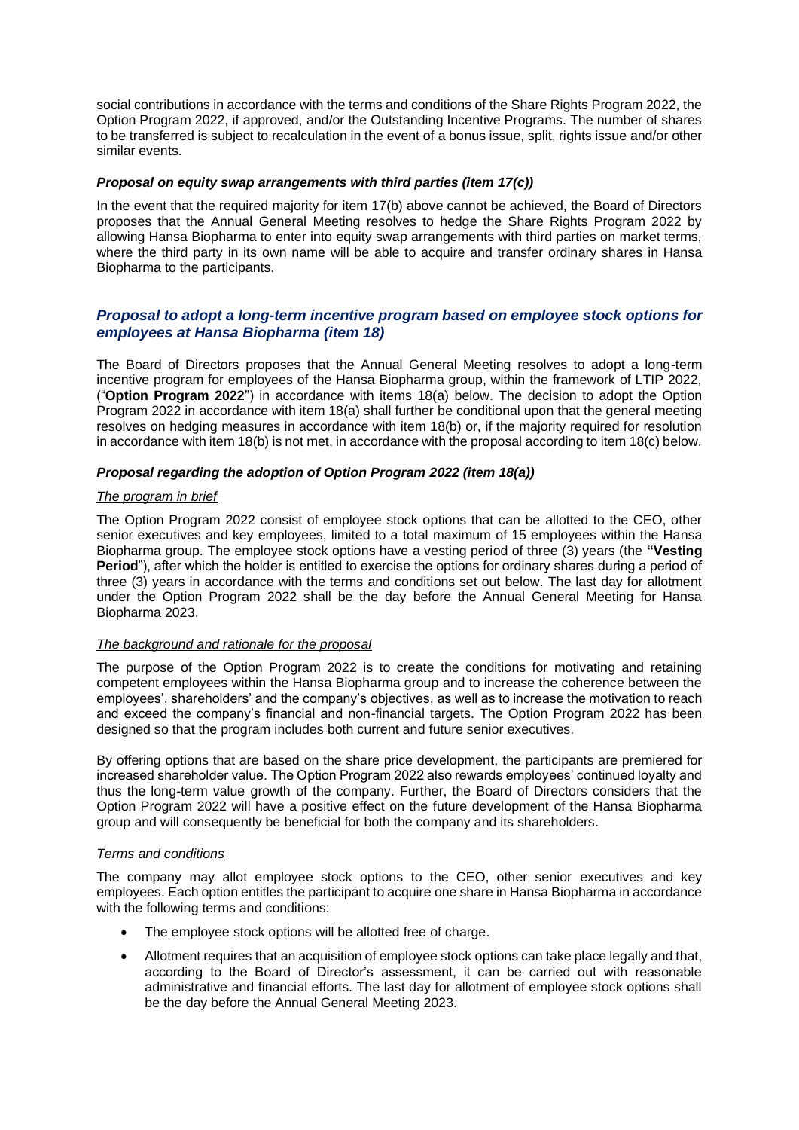social contributions in accordance with the terms and conditions of the Share Rights Program 2022, the Option Program 2022, if approved, and/or the Outstanding Incentive Programs. The number of shares to be transferred is subject to recalculation in the event of a bonus issue, split, rights issue and/or other similar events.

#### *Proposal on equity swap arrangements with third parties (item 17(c))*

In the event that the required majority for item 17(b) above cannot be achieved, the Board of Directors proposes that the Annual General Meeting resolves to hedge the Share Rights Program 2022 by allowing Hansa Biopharma to enter into equity swap arrangements with third parties on market terms, where the third party in its own name will be able to acquire and transfer ordinary shares in Hansa Biopharma to the participants.

# *Proposal to adopt a long-term incentive program based on employee stock options for employees at Hansa Biopharma (item 18)*

The Board of Directors proposes that the Annual General Meeting resolves to adopt a long-term incentive program for employees of the Hansa Biopharma group, within the framework of LTIP 2022, ("**Option Program 2022**") in accordance with items 18(a) below. The decision to adopt the Option Program 2022 in accordance with item 18(a) shall further be conditional upon that the general meeting resolves on hedging measures in accordance with item 18(b) or, if the majority required for resolution in accordance with item 18(b) is not met, in accordance with the proposal according to item 18(c) below.

## *Proposal regarding the adoption of Option Program 2022 (item 18(a))*

## *The program in brief*

The Option Program 2022 consist of employee stock options that can be allotted to the CEO, other senior executives and key employees, limited to a total maximum of 15 employees within the Hansa Biopharma group. The employee stock options have a vesting period of three (3) years (the **"Vesting Period**"), after which the holder is entitled to exercise the options for ordinary shares during a period of three (3) years in accordance with the terms and conditions set out below. The last day for allotment under the Option Program 2022 shall be the day before the Annual General Meeting for Hansa Biopharma 2023.

#### *The background and rationale for the proposal*

The purpose of the Option Program 2022 is to create the conditions for motivating and retaining competent employees within the Hansa Biopharma group and to increase the coherence between the employees', shareholders' and the company's objectives, as well as to increase the motivation to reach and exceed the company's financial and non-financial targets. The Option Program 2022 has been designed so that the program includes both current and future senior executives.

By offering options that are based on the share price development, the participants are premiered for increased shareholder value. The Option Program 2022 also rewards employees' continued loyalty and thus the long-term value growth of the company. Further, the Board of Directors considers that the Option Program 2022 will have a positive effect on the future development of the Hansa Biopharma group and will consequently be beneficial for both the company and its shareholders.

#### *Terms and conditions*

The company may allot employee stock options to the CEO, other senior executives and key employees. Each option entitles the participant to acquire one share in Hansa Biopharma in accordance with the following terms and conditions:

- The employee stock options will be allotted free of charge.
- Allotment requires that an acquisition of employee stock options can take place legally and that, according to the Board of Director's assessment, it can be carried out with reasonable administrative and financial efforts. The last day for allotment of employee stock options shall be the day before the Annual General Meeting 2023.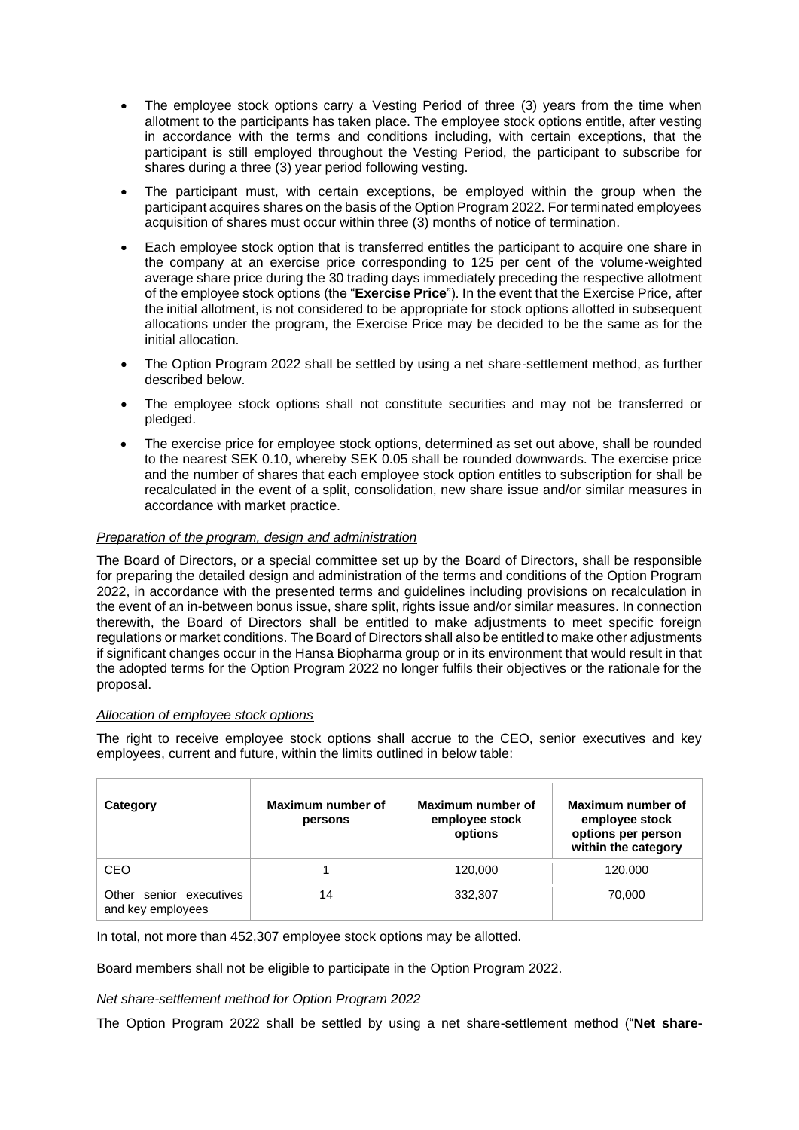- The employee stock options carry a Vesting Period of three (3) years from the time when allotment to the participants has taken place. The employee stock options entitle, after vesting in accordance with the terms and conditions including, with certain exceptions, that the participant is still employed throughout the Vesting Period, the participant to subscribe for shares during a three (3) year period following vesting.
- The participant must, with certain exceptions, be employed within the group when the participant acquires shares on the basis of the Option Program 2022. For terminated employees acquisition of shares must occur within three (3) months of notice of termination.
- Each employee stock option that is transferred entitles the participant to acquire one share in the company at an exercise price corresponding to 125 per cent of the volume-weighted average share price during the 30 trading days immediately preceding the respective allotment of the employee stock options (the "**Exercise Price**"). In the event that the Exercise Price, after the initial allotment, is not considered to be appropriate for stock options allotted in subsequent allocations under the program, the Exercise Price may be decided to be the same as for the initial allocation.
- The Option Program 2022 shall be settled by using a net share-settlement method, as further described below.
- The employee stock options shall not constitute securities and may not be transferred or pledged.
- The exercise price for employee stock options, determined as set out above, shall be rounded to the nearest SEK 0.10, whereby SEK 0.05 shall be rounded downwards. The exercise price and the number of shares that each employee stock option entitles to subscription for shall be recalculated in the event of a split, consolidation, new share issue and/or similar measures in accordance with market practice.

# *Preparation of the program, design and administration*

The Board of Directors, or a special committee set up by the Board of Directors, shall be responsible for preparing the detailed design and administration of the terms and conditions of the Option Program 2022, in accordance with the presented terms and guidelines including provisions on recalculation in the event of an in-between bonus issue, share split, rights issue and/or similar measures. In connection therewith, the Board of Directors shall be entitled to make adjustments to meet specific foreign regulations or market conditions. The Board of Directors shall also be entitled to make other adjustments if significant changes occur in the Hansa Biopharma group or in its environment that would result in that the adopted terms for the Option Program 2022 no longer fulfils their objectives or the rationale for the proposal.

#### *Allocation of employee stock options*

The right to receive employee stock options shall accrue to the CEO, senior executives and key employees, current and future, within the limits outlined in below table:

| Category                                     | Maximum number of<br>persons | Maximum number of<br>employee stock<br>options | Maximum number of<br>employee stock<br>options per person<br>within the category |
|----------------------------------------------|------------------------------|------------------------------------------------|----------------------------------------------------------------------------------|
| CEO                                          |                              | 120,000                                        | 120,000                                                                          |
| Other senior executives<br>and key employees | 14                           | 332,307                                        | 70.000                                                                           |

In total, not more than 452,307 employee stock options may be allotted.

Board members shall not be eligible to participate in the Option Program 2022.

#### *Net share-settlement method for Option Program 2022*

The Option Program 2022 shall be settled by using a net share-settlement method ("**Net share-**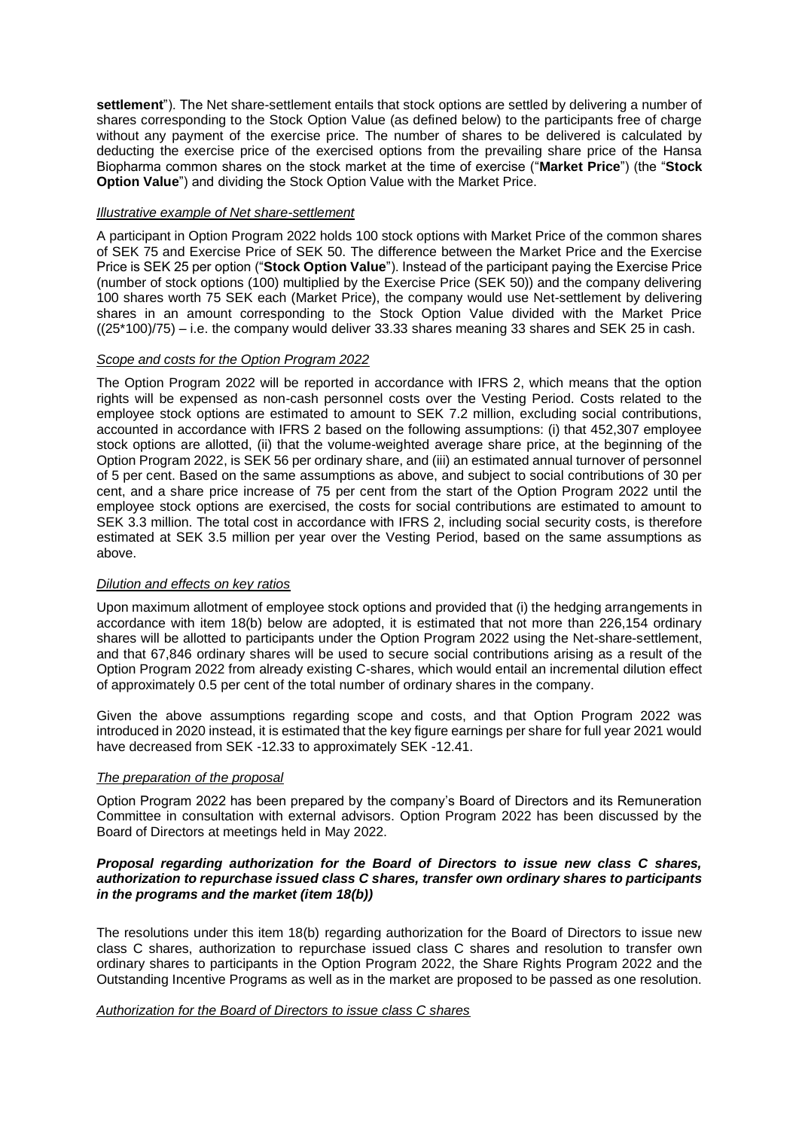**settlement**"). The Net share-settlement entails that stock options are settled by delivering a number of shares corresponding to the Stock Option Value (as defined below) to the participants free of charge without any payment of the exercise price. The number of shares to be delivered is calculated by deducting the exercise price of the exercised options from the prevailing share price of the Hansa Biopharma common shares on the stock market at the time of exercise ("**Market Price**") (the "**Stock Option Value**") and dividing the Stock Option Value with the Market Price.

## *Illustrative example of Net share-settlement*

A participant in Option Program 2022 holds 100 stock options with Market Price of the common shares of SEK 75 and Exercise Price of SEK 50. The difference between the Market Price and the Exercise Price is SEK 25 per option ("**Stock Option Value**"). Instead of the participant paying the Exercise Price (number of stock options (100) multiplied by the Exercise Price (SEK 50)) and the company delivering 100 shares worth 75 SEK each (Market Price), the company would use Net-settlement by delivering shares in an amount corresponding to the Stock Option Value divided with the Market Price ((25\*100)/75) – i.e. the company would deliver 33.33 shares meaning 33 shares and SEK 25 in cash.

# *Scope and costs for the Option Program 2022*

The Option Program 2022 will be reported in accordance with IFRS 2, which means that the option rights will be expensed as non-cash personnel costs over the Vesting Period. Costs related to the employee stock options are estimated to amount to SEK 7.2 million, excluding social contributions, accounted in accordance with IFRS 2 based on the following assumptions: (i) that 452,307 employee stock options are allotted, (ii) that the volume-weighted average share price, at the beginning of the Option Program 2022, is SEK 56 per ordinary share, and (iii) an estimated annual turnover of personnel of 5 per cent. Based on the same assumptions as above, and subject to social contributions of 30 per cent, and a share price increase of 75 per cent from the start of the Option Program 2022 until the employee stock options are exercised, the costs for social contributions are estimated to amount to SEK 3.3 million. The total cost in accordance with IFRS 2, including social security costs, is therefore estimated at SEK 3.5 million per year over the Vesting Period, based on the same assumptions as above.

# *Dilution and effects on key ratios*

Upon maximum allotment of employee stock options and provided that (i) the hedging arrangements in accordance with item 18(b) below are adopted, it is estimated that not more than 226,154 ordinary shares will be allotted to participants under the Option Program 2022 using the Net-share-settlement, and that 67,846 ordinary shares will be used to secure social contributions arising as a result of the Option Program 2022 from already existing C-shares, which would entail an incremental dilution effect of approximately 0.5 per cent of the total number of ordinary shares in the company.

Given the above assumptions regarding scope and costs, and that Option Program 2022 was introduced in 2020 instead, it is estimated that the key figure earnings per share for full year 2021 would have decreased from SEK -12.33 to approximately SEK -12.41.

#### *The preparation of the proposal*

Option Program 2022 has been prepared by the company's Board of Directors and its Remuneration Committee in consultation with external advisors. Option Program 2022 has been discussed by the Board of Directors at meetings held in May 2022.

## *Proposal regarding authorization for the Board of Directors to issue new class C shares, authorization to repurchase issued class C shares, transfer own ordinary shares to participants in the programs and the market (item 18(b))*

The resolutions under this item 18(b) regarding authorization for the Board of Directors to issue new class C shares, authorization to repurchase issued class C shares and resolution to transfer own ordinary shares to participants in the Option Program 2022, the Share Rights Program 2022 and the Outstanding Incentive Programs as well as in the market are proposed to be passed as one resolution.

#### *Authorization for the Board of Directors to issue class C shares*